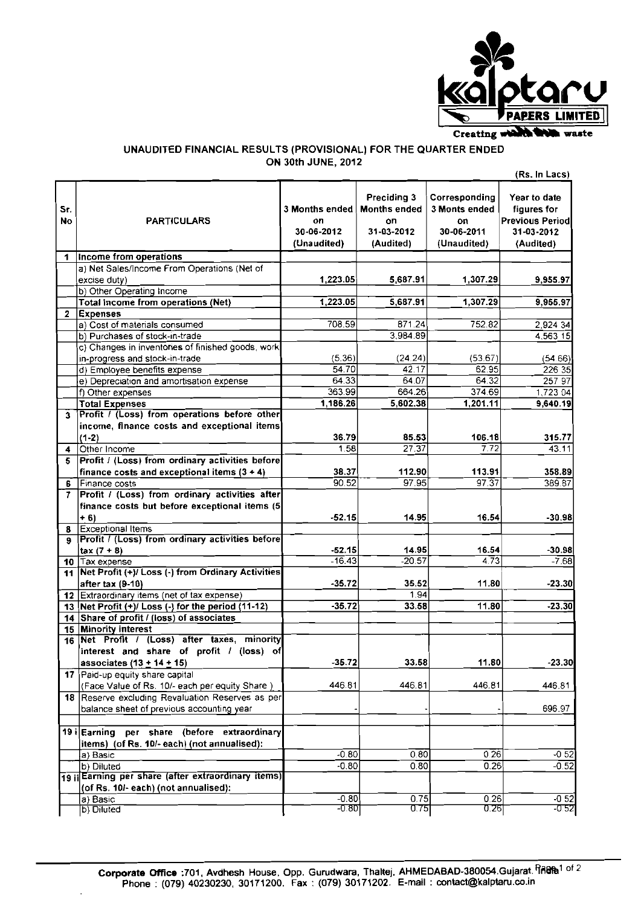

## **UNAUDITED FINANCIAL RESULTS (PROVISIONAL) FOR THE QUARTER ENDED ON 30th JUNE, 2012**

|           |                                                                                                    |                                                          |                                                                      |                                                                   | (Rs. In Lacs)                                                                     |
|-----------|----------------------------------------------------------------------------------------------------|----------------------------------------------------------|----------------------------------------------------------------------|-------------------------------------------------------------------|-----------------------------------------------------------------------------------|
| Sr.<br>No | <b>PARTICULARS</b>                                                                                 | <b>3 Months ended</b><br>on<br>30-06-2012<br>(Unaudited) | Preciding 3<br><b>Months ended</b><br>on.<br>31-03-2012<br>(Audited) | Corresponding<br>3 Monts ended<br>OΠ<br>30-06-2011<br>(Unaudited) | Year to date<br>figures for<br><b>Previous Periodl</b><br>31-03-2012<br>(Audited) |
| 1         | Income from operations                                                                             |                                                          |                                                                      |                                                                   |                                                                                   |
|           | a) Net Sales/Income From Operations (Net of                                                        |                                                          |                                                                      |                                                                   |                                                                                   |
|           | excise duty)                                                                                       | 1,223.05                                                 | 5,687.91                                                             | 1,307.29                                                          | 9,955.97                                                                          |
|           | b) Other Operating Income                                                                          |                                                          |                                                                      |                                                                   |                                                                                   |
|           | <b>Total Income from operations (Net)</b>                                                          | $\overline{1,223.05}$                                    | 5,687.91                                                             | 1,307.29                                                          | 9,955.97                                                                          |
| 2         | <b>Expenses</b>                                                                                    |                                                          |                                                                      |                                                                   |                                                                                   |
|           | a) Cost of materials consumed                                                                      | 708.59                                                   | 871.24                                                               | 752.82                                                            | 2,924 34                                                                          |
|           | b) Purchases of stock-in-trade                                                                     |                                                          | 3,984.89                                                             |                                                                   | 4,563 15                                                                          |
|           | c) Changes in inventories of finished goods, work<br>in-progress and stock-in-trade                | (5.36)                                                   | (24.24)                                                              | (53.67)                                                           | (54.66)                                                                           |
|           | d) Employee benefits expense                                                                       | 54.70                                                    | 42.17                                                                | 62.95                                                             | 226 35                                                                            |
|           | e) Depreciation and amortisation expense                                                           | 64.33                                                    | 64.07                                                                | $64.\overline{32}$                                                | 257 97                                                                            |
|           | f) Other expenses                                                                                  | 363.99                                                   | 664.26                                                               | 374.69                                                            | 1,723 04                                                                          |
|           | <b>Total Expenses</b>                                                                              | 1,186.26                                                 | 5,602.38                                                             | 1,201.11                                                          | 9,640.19                                                                          |
| 3         | Profit / (Loss) from operations before other                                                       |                                                          |                                                                      |                                                                   |                                                                                   |
|           | income, finance costs and exceptional items                                                        |                                                          |                                                                      |                                                                   |                                                                                   |
|           | $(1-2)$                                                                                            | 36.79                                                    | 85.53                                                                | 106.18                                                            | 315.77                                                                            |
| 4         | Other Income                                                                                       | 1.58                                                     | $27.\overline{37}$                                                   | $\frac{1}{7.72}$                                                  | 43.11                                                                             |
| 5         | Profit / (Loss) from ordinary activities before                                                    |                                                          |                                                                      |                                                                   |                                                                                   |
|           | finance costs and exceptional items $(3 + 4)$                                                      | 38.37                                                    | 112.90                                                               | 113.91                                                            | 358.89                                                                            |
| 6         | Finance costs                                                                                      | 90.52                                                    | 97.95                                                                | $97.\overline{37}$                                                | 389 87                                                                            |
|           | 7 Profit / (Loss) from ordinary activities after<br>finance costs but before exceptional items (5) |                                                          |                                                                      |                                                                   |                                                                                   |
|           | $+6$                                                                                               | $-52.15$                                                 | 14.95                                                                | 16.54                                                             | $-30.98$                                                                          |
| 8         | Exceptional Items                                                                                  |                                                          |                                                                      |                                                                   |                                                                                   |
| 9         | <b>Profit / (Loss) from ordinary activities before</b>                                             |                                                          |                                                                      |                                                                   |                                                                                   |
|           | $tax (7 + 8)$                                                                                      | -52.15                                                   | 14.95                                                                | 16.54                                                             | $-30.98$                                                                          |
|           | 10 Tax expense                                                                                     | $-16.43$                                                 | $-20.57$                                                             | $4.\overline{7}3$                                                 | $-7.68$                                                                           |
|           | 11 Net Profit (+)/ Loss (-) from Ordinary Activities                                               |                                                          |                                                                      |                                                                   |                                                                                   |
|           | after tax (9-10)                                                                                   | $-35.72$                                                 | 35.52                                                                | 11.80                                                             | $-23.30$                                                                          |
|           | 12 Extraordinary items (net of tax expense)                                                        |                                                          | 1.94                                                                 |                                                                   |                                                                                   |
|           | 13   Net $\overline{Profit}$ (+)/ Loss $\overline{(-)}$ for the period (11-12)                     | $-35.72$                                                 | 33.58                                                                | 11.80                                                             | $-23.30$                                                                          |
|           | 14 Share of profit / (loss) of associates<br>15 Minority interest                                  |                                                          |                                                                      |                                                                   |                                                                                   |
|           | 16 Net Profit / (Loss) after taxes, minority                                                       |                                                          |                                                                      |                                                                   |                                                                                   |
|           | interest and share of profit / (loss) of                                                           |                                                          |                                                                      |                                                                   |                                                                                   |
|           | associates $(13 + 14 + 15)$                                                                        | $-35.72$                                                 | 33.58                                                                | 11.80                                                             | $-23.30$                                                                          |
|           | 17 Paid-up equity share capital                                                                    |                                                          |                                                                      |                                                                   |                                                                                   |
|           | (Face Value of Rs. 10/- each per equity Share)                                                     | 446.81                                                   | 446.81                                                               | 446.81                                                            | 446.81                                                                            |
|           | 18 Reserve excluding Revaluation Reserves as per                                                   |                                                          |                                                                      |                                                                   |                                                                                   |
|           | balance sheet of previous accounting year                                                          |                                                          |                                                                      |                                                                   | 696.97                                                                            |
|           |                                                                                                    |                                                          |                                                                      |                                                                   |                                                                                   |
|           | 19 i Earning per share (before extraordinary                                                       |                                                          |                                                                      |                                                                   |                                                                                   |
|           | items) (of Rs. 10/- each) (not annualised):                                                        | $-0.80$                                                  | 0.80                                                                 | 0.26                                                              | $-0,52$                                                                           |
|           | a) Basic<br>b) Diluted                                                                             | $-0.80$                                                  | 0.80                                                                 | 0.26                                                              | $-0.52$                                                                           |
|           | 19 il Earning per share (after extraordinary items)                                                |                                                          |                                                                      |                                                                   |                                                                                   |
|           | (of Rs. 10/- each) (not annualised):                                                               |                                                          |                                                                      |                                                                   |                                                                                   |
|           | a) Basic                                                                                           | $-0.80$                                                  | 0.75                                                                 | 0.26                                                              | $-0.52$                                                                           |
|           | b) Diluted                                                                                         | -0.801                                                   | 0.75                                                                 | 0.26                                                              | $-0.52$                                                                           |

 $\ddot{\phantom{a}}$